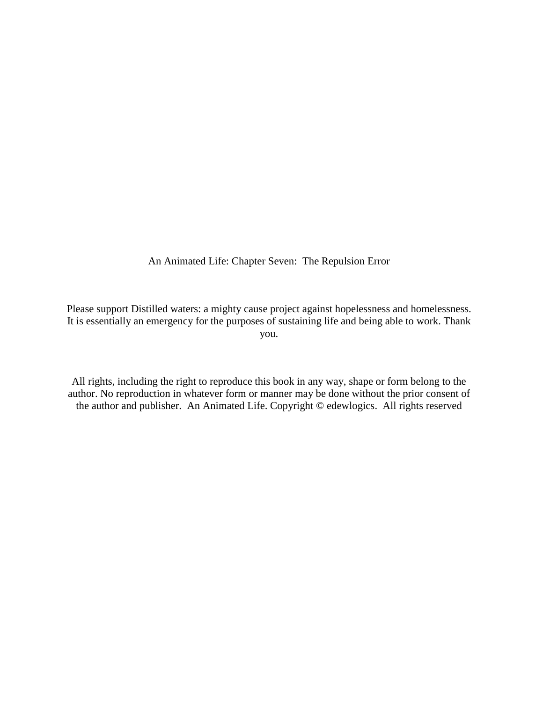An Animated Life: Chapter Seven: The Repulsion Error

Please support Distilled waters: a mighty cause project against hopelessness and homelessness. It is essentially an emergency for the purposes of sustaining life and being able to work. Thank you.

All rights, including the right to reproduce this book in any way, shape or form belong to the author. No reproduction in whatever form or manner may be done without the prior consent of the author and publisher. An Animated Life. Copyright © edewlogics. All rights reserved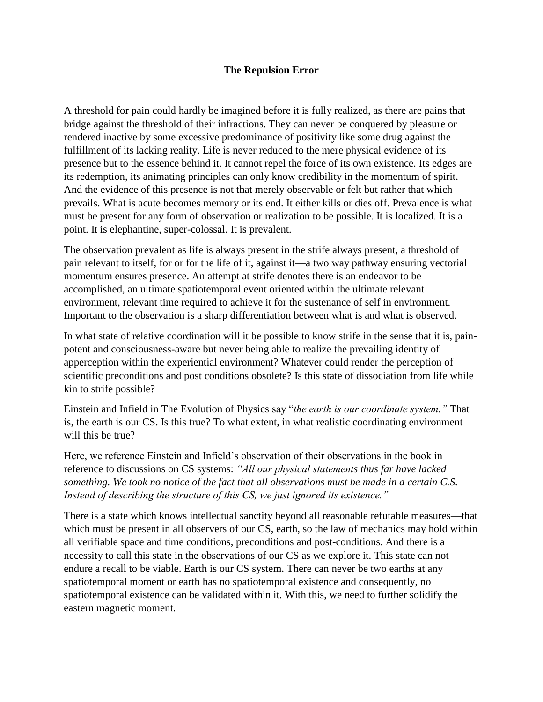## **The Repulsion Error**

A threshold for pain could hardly be imagined before it is fully realized, as there are pains that bridge against the threshold of their infractions. They can never be conquered by pleasure or rendered inactive by some excessive predominance of positivity like some drug against the fulfillment of its lacking reality. Life is never reduced to the mere physical evidence of its presence but to the essence behind it. It cannot repel the force of its own existence. Its edges are its redemption, its animating principles can only know credibility in the momentum of spirit. And the evidence of this presence is not that merely observable or felt but rather that which prevails. What is acute becomes memory or its end. It either kills or dies off. Prevalence is what must be present for any form of observation or realization to be possible. It is localized. It is a point. It is elephantine, super-colossal. It is prevalent.

The observation prevalent as life is always present in the strife always present, a threshold of pain relevant to itself, for or for the life of it, against it—a two way pathway ensuring vectorial momentum ensures presence. An attempt at strife denotes there is an endeavor to be accomplished, an ultimate spatiotemporal event oriented within the ultimate relevant environment, relevant time required to achieve it for the sustenance of self in environment. Important to the observation is a sharp differentiation between what is and what is observed.

In what state of relative coordination will it be possible to know strife in the sense that it is, painpotent and consciousness-aware but never being able to realize the prevailing identity of apperception within the experiential environment? Whatever could render the perception of scientific preconditions and post conditions obsolete? Is this state of dissociation from life while kin to strife possible?

Einstein and Infield in The Evolution of Physics say "*the earth is our coordinate system."* That is, the earth is our CS. Is this true? To what extent, in what realistic coordinating environment will this be true?

Here, we reference Einstein and Infield's observation of their observations in the book in reference to discussions on CS systems: *"All our physical statements thus far have lacked something. We took no notice of the fact that all observations must be made in a certain C.S. Instead of describing the structure of this CS, we just ignored its existence."*

There is a state which knows intellectual sanctity beyond all reasonable refutable measures—that which must be present in all observers of our CS, earth, so the law of mechanics may hold within all verifiable space and time conditions, preconditions and post-conditions. And there is a necessity to call this state in the observations of our CS as we explore it. This state can not endure a recall to be viable. Earth is our CS system. There can never be two earths at any spatiotemporal moment or earth has no spatiotemporal existence and consequently, no spatiotemporal existence can be validated within it. With this, we need to further solidify the eastern magnetic moment.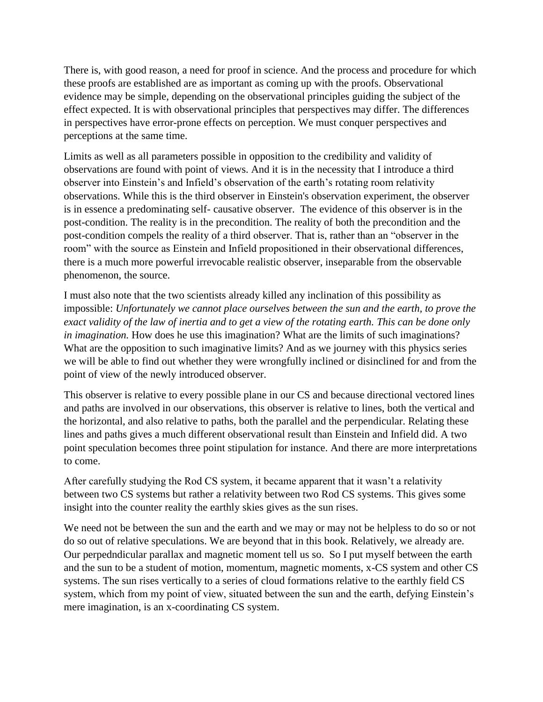There is, with good reason, a need for proof in science. And the process and procedure for which these proofs are established are as important as coming up with the proofs. Observational evidence may be simple, depending on the observational principles guiding the subject of the effect expected. It is with observational principles that perspectives may differ. The differences in perspectives have error-prone effects on perception. We must conquer perspectives and perceptions at the same time.

Limits as well as all parameters possible in opposition to the credibility and validity of observations are found with point of views. And it is in the necessity that I introduce a third observer into Einstein's and Infield's observation of the earth's rotating room relativity observations. While this is the third observer in Einstein's observation experiment, the observer is in essence a predominating self- causative observer. The evidence of this observer is in the post-condition. The reality is in the precondition. The reality of both the precondition and the post-condition compels the reality of a third observer. That is, rather than an "observer in the room" with the source as Einstein and Infield propositioned in their observational differences, there is a much more powerful irrevocable realistic observer, inseparable from the observable phenomenon, the source.

I must also note that the two scientists already killed any inclination of this possibility as impossible: *Unfortunately we cannot place ourselves between the sun and the earth, to prove the exact validity of the law of inertia and to get a view of the rotating earth. This can be done only in imagination.* How does he use this imagination? What are the limits of such imaginations? What are the opposition to such imaginative limits? And as we journey with this physics series we will be able to find out whether they were wrongfully inclined or disinclined for and from the point of view of the newly introduced observer.

This observer is relative to every possible plane in our CS and because directional vectored lines and paths are involved in our observations, this observer is relative to lines, both the vertical and the horizontal, and also relative to paths, both the parallel and the perpendicular. Relating these lines and paths gives a much different observational result than Einstein and Infield did. A two point speculation becomes three point stipulation for instance. And there are more interpretations to come.

After carefully studying the Rod CS system, it became apparent that it wasn't a relativity between two CS systems but rather a relativity between two Rod CS systems. This gives some insight into the counter reality the earthly skies gives as the sun rises.

We need not be between the sun and the earth and we may or may not be helpless to do so or not do so out of relative speculations. We are beyond that in this book. Relatively, we already are. Our perpedndicular parallax and magnetic moment tell us so. So I put myself between the earth and the sun to be a student of motion, momentum, magnetic moments, x-CS system and other CS systems. The sun rises vertically to a series of cloud formations relative to the earthly field CS system, which from my point of view, situated between the sun and the earth, defying Einstein's mere imagination, is an x-coordinating CS system.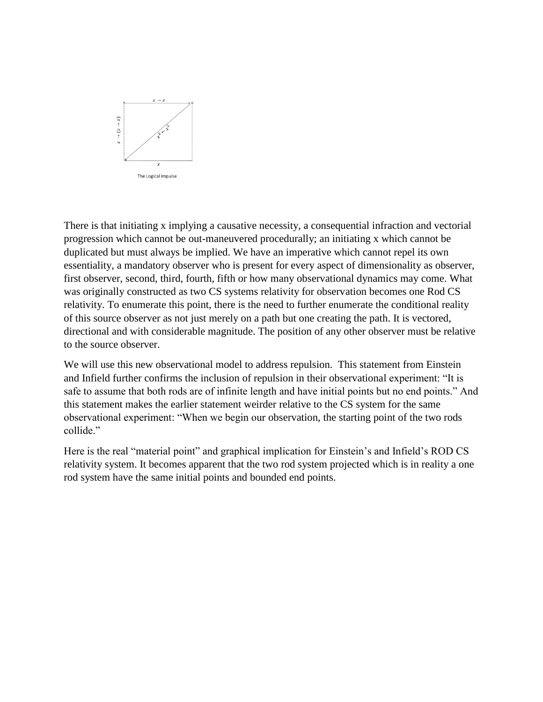

There is that initiating x implying a causative necessity, a consequential infraction and vectorial progression which cannot be out-maneuvered procedurally; an initiating x which cannot be duplicated but must always be implied. We have an imperative which cannot repel its own essentiality, a mandatory observer who is present for every aspect of dimensionality as observer, first observer, second, third, fourth, fifth or how many observational dynamics may come. What was originally constructed as two CS systems relativity for observation becomes one Rod CS relativity. To enumerate this point, there is the need to further enumerate the conditional reality of this source observer as not just merely on a path but one creating the path. It is vectored, directional and with considerable magnitude. The position of any other observer must be relative to the source observer.

We will use this new observational model to address repulsion. This statement from Einstein and Infield further confirms the inclusion of repulsion in their observational experiment: "It is safe to assume that both rods are of infinite length and have initial points but no end points." And this statement makes the earlier statement weirder relative to the CS system for the same observational experiment: "When we begin our observation, the starting point of the two rods collide."

Here is the real "material point" and graphical implication for Einstein's and Infield's ROD CS relativity system. It becomes apparent that the two rod system projected which is in reality a one rod system have the same initial points and bounded end points.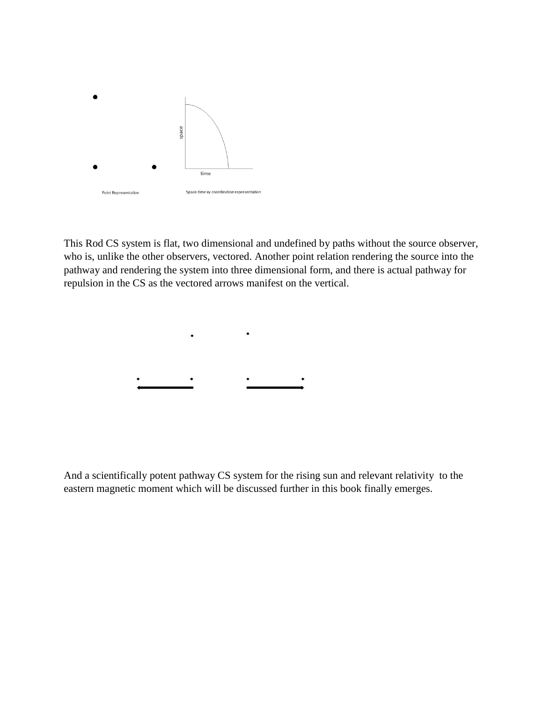

This Rod CS system is flat, two dimensional and undefined by paths without the source observer, who is, unlike the other observers, vectored. Another point relation rendering the source into the pathway and rendering the system into three dimensional form, and there is actual pathway for repulsion in the CS as the vectored arrows manifest on the vertical.

And a scientifically potent pathway CS system for the rising sun and relevant relativity to the eastern magnetic moment which will be discussed further in this book finally emerges.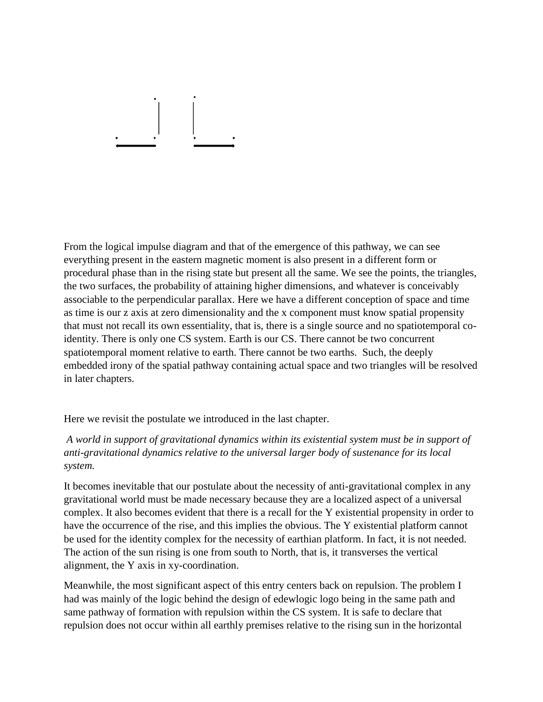From the logical impulse diagram and that of the emergence of this pathway, we can see everything present in the eastern magnetic moment is also present in a different form or procedural phase than in the rising state but present all the same. We see the points, the triangles, the two surfaces, the probability of attaining higher dimensions, and whatever is conceivably associable to the perpendicular parallax. Here we have a different conception of space and time as time is our z axis at zero dimensionality and the x component must know spatial propensity that must not recall its own essentiality, that is, there is a single source and no spatiotemporal coidentity. There is only one CS system. Earth is our CS. There cannot be two concurrent spatiotemporal moment relative to earth. There cannot be two earths. Such, the deeply embedded irony of the spatial pathway containing actual space and two triangles will be resolved in later chapters.

Here we revisit the postulate we introduced in the last chapter.

*A world in support of gravitational dynamics within its existential system must be in support of anti-gravitational dynamics relative to the universal larger body of sustenance for its local system.* 

It becomes inevitable that our postulate about the necessity of anti-gravitational complex in any gravitational world must be made necessary because they are a localized aspect of a universal complex. It also becomes evident that there is a recall for the Y existential propensity in order to have the occurrence of the rise, and this implies the obvious. The Y existential platform cannot be used for the identity complex for the necessity of earthian platform. In fact, it is not needed. The action of the sun rising is one from south to North, that is, it transverses the vertical alignment, the Y axis in xy-coordination.

Meanwhile, the most significant aspect of this entry centers back on repulsion. The problem I had was mainly of the logic behind the design of edewlogic logo being in the same path and same pathway of formation with repulsion within the CS system. It is safe to declare that repulsion does not occur within all earthly premises relative to the rising sun in the horizontal